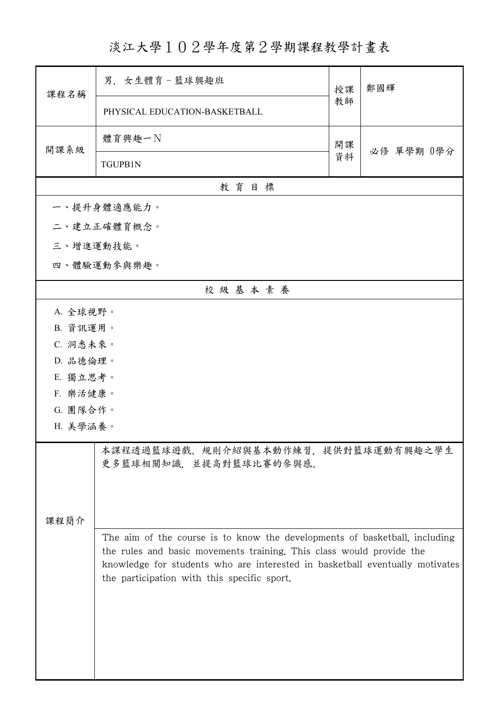淡江大學102學年度第2學期課程教學計畫表

| 課程名稱                                                          | 男. 女生體育-籃球興趣班                                                                                                                                                                                                                                                                     | 授課       | 鄭國輝        |  |  |
|---------------------------------------------------------------|-----------------------------------------------------------------------------------------------------------------------------------------------------------------------------------------------------------------------------------------------------------------------------------|----------|------------|--|--|
|                                                               | PHYSICAL EDUCATION-BASKETBALL                                                                                                                                                                                                                                                     | 教師       |            |  |  |
| 開課系級                                                          | 體育興趣一N                                                                                                                                                                                                                                                                            | 開課<br>資料 | 必修 單學期 0學分 |  |  |
|                                                               | <b>TGUPB1N</b>                                                                                                                                                                                                                                                                    |          |            |  |  |
| 教育目標                                                          |                                                                                                                                                                                                                                                                                   |          |            |  |  |
|                                                               | 一、提升身體適應能力。                                                                                                                                                                                                                                                                       |          |            |  |  |
|                                                               | 二、建立正確體育概念。                                                                                                                                                                                                                                                                       |          |            |  |  |
| 三、增進運動技能。                                                     |                                                                                                                                                                                                                                                                                   |          |            |  |  |
| 四、體驗運動參與樂趣。                                                   |                                                                                                                                                                                                                                                                                   |          |            |  |  |
|                                                               | 校級基本素養                                                                                                                                                                                                                                                                            |          |            |  |  |
| A. 全球視野。                                                      |                                                                                                                                                                                                                                                                                   |          |            |  |  |
| B. 資訊運用。                                                      |                                                                                                                                                                                                                                                                                   |          |            |  |  |
| C. 洞悉未來。                                                      |                                                                                                                                                                                                                                                                                   |          |            |  |  |
| D. 品德倫理。                                                      |                                                                                                                                                                                                                                                                                   |          |            |  |  |
| E. 獨立思考。                                                      |                                                                                                                                                                                                                                                                                   |          |            |  |  |
|                                                               | F. 樂活健康。                                                                                                                                                                                                                                                                          |          |            |  |  |
| G. 團隊合作。                                                      |                                                                                                                                                                                                                                                                                   |          |            |  |  |
| H. 美學涵養。                                                      |                                                                                                                                                                                                                                                                                   |          |            |  |  |
| 本課程透過籃球遊戲、規則介紹與基本動作練習,提供對籃球運動有興趣之學生<br>更多籃球相關知識,並提高對籃球比賽的參與感。 |                                                                                                                                                                                                                                                                                   |          |            |  |  |
| 课程简介                                                          |                                                                                                                                                                                                                                                                                   |          |            |  |  |
|                                                               | The aim of the course is to know the developments of basketball, including<br>the rules and basic movements training. This class would provide the<br>knowledge for students who are interested in basketball eventually motivates<br>the participation with this specific sport. |          |            |  |  |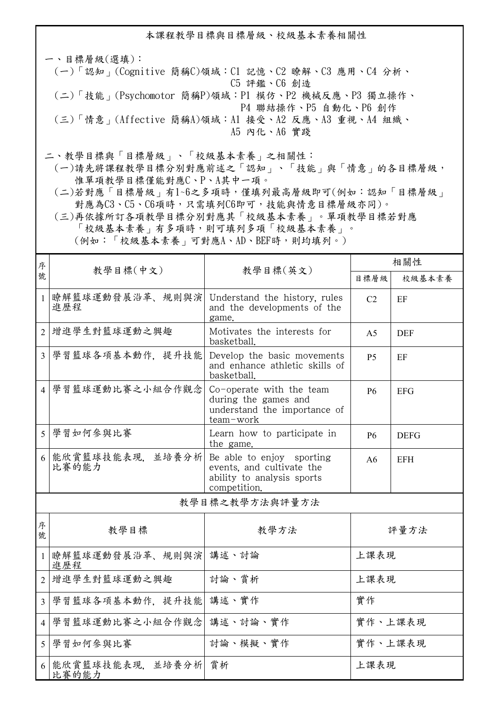本課程教學目標與目標層級、校級基本素養相關性

一、目標層級(選填): (一)「認知」(Cognitive 簡稱C)領域:C1 記憶、C2 瞭解、C3 應用、C4 分析、 C5 評鑑、C6 創造 (二)「技能」(Psychomotor 簡稱P)領域:P1 模仿、P2 機械反應、P3 獨立操作、 P4 聯結操作、P5 自動化、P6 創作 (三)「情意」(Affective 簡稱A)領域:A1 接受、A2 反應、A3 重視、A4 組織、 A5 內化、A6 實踐

二、教學目標與「目標層級」、「校級基本素養」之相關性:

 (一)請先將課程教學目標分別對應前述之「認知」、「技能」與「情意」的各目標層級, 惟單項教學目標僅能對應C、P、A其中一項。

 (二)若對應「目標層級」有1~6之多項時,僅填列最高層級即可(例如:認知「目標層級」 對應為C3、C5、C6項時,只需填列C6即可,技能與情意目標層級亦同)。

 (三)再依據所訂各項教學目標分別對應其「校級基本素養」。單項教學目標若對應 「校級基本素養」有多項時,則可填列多項「校級基本素養」。 (例如:「校級基本素養」可對應A、AD、BEF時,則均填列。)

| 序              |                              |                                                                                                      | 相關性            |             |  |
|----------------|------------------------------|------------------------------------------------------------------------------------------------------|----------------|-------------|--|
| 號              | 教學目標(中文)                     | 教學目標(英文)                                                                                             | 目標層級           | 校級基本素養      |  |
| $\mathbf{1}$   | 瞭解籃球運動發展沿革、規則與演<br>進歷程       | Understand the history, rules<br>and the developments of the<br>game.                                | C2             | EF          |  |
| 2              | 增進學生對籃球運動之興趣                 | Motivates the interests for<br>basketball.                                                           | A <sub>5</sub> | <b>DEF</b>  |  |
| $\overline{3}$ | 學習籃球各項基本動作,提升技能              | Develop the basic movements<br>and enhance athletic skills of<br>basketball.                         | <b>P5</b>      | EF          |  |
| $\overline{4}$ | 學習籃球運動比賽之小組合作觀念              | Co-operate with the team<br>during the games and<br>understand the importance of<br>team-work        | <b>P6</b>      | <b>EFG</b>  |  |
| 5 <sup>5</sup> | 學習如何參與比賽                     | Learn how to participate in<br>the game.                                                             | <b>P6</b>      | <b>DEFG</b> |  |
| 6              | 能欣賞籃球技能表現, 並培養分析<br>比賽的能力    | Be able to enjoy sporting<br>events, and cultivate the<br>ability to analysis sports<br>competition. | A6             | <b>EFH</b>  |  |
| 教學目標之教學方法與評量方法 |                              |                                                                                                      |                |             |  |
| 序<br>號         | 教學目標                         | 教學方法                                                                                                 | 評量方法           |             |  |
| $\mathbf{1}$   | 瞭解籃球運動發展沿革、規則與演 講述、討論<br>進歷程 |                                                                                                      | 上課表現           |             |  |
| $\overline{2}$ | 增進學生對籃球運動之興趣                 | 討論、賞析                                                                                                | 上課表現           |             |  |
| $\overline{3}$ | 學習籃球各項基本動作, 提升技能 講述、實作       |                                                                                                      | 實作             |             |  |
| $\overline{4}$ | 學習籃球運動比賽之小組合作觀念              | 講述、討論、實作                                                                                             | 實作、上課表現        |             |  |
| 5 <sup>5</sup> | 學習如何參與比賽                     | 討論、模擬、實作                                                                                             | 實作、上課表現        |             |  |
| 6              | 能欣賞籃球技能表現, 並培養分析 賞析<br>比賽的能力 |                                                                                                      | 上課表現           |             |  |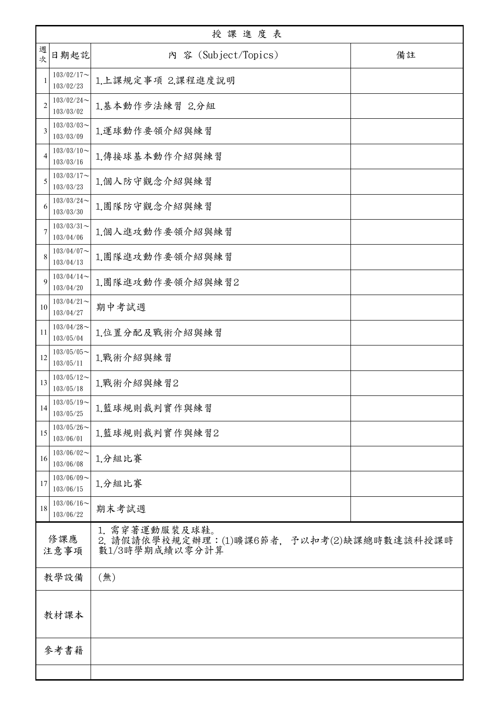| 授課進度表          |                            |                                                                                |    |  |
|----------------|----------------------------|--------------------------------------------------------------------------------|----|--|
| 週<br>文         | 日期起訖                       | 内 容 (Subject/Topics)                                                           | 備註 |  |
|                | $103/02/17$ ~<br>103/02/23 | 1.上課規定事項 2.課程進度說明                                                              |    |  |
| $\overline{2}$ | $103/02/24$ ~<br>103/03/02 | 1.基本動作步法練習 2.分組                                                                |    |  |
| 3              | $103/03/03$ ~<br>103/03/09 | 1.運球動作要領介紹與練習                                                                  |    |  |
| 4              | $103/03/10$ ~<br>103/03/16 | 1.傳接球基本動作介紹與練習                                                                 |    |  |
| 5              | $103/03/17$ ~<br>103/03/23 | 1.個人防守觀念介紹與練習                                                                  |    |  |
| 6              | $103/03/24$ ~<br>103/03/30 | 1.團隊防守觀念介紹與練習                                                                  |    |  |
|                | $103/03/31$ ~<br>103/04/06 | 1.個人進攻動作要領介紹與練習                                                                |    |  |
| 8              | $103/04/07$ ~<br>103/04/13 | 1.團隊進攻動作要領介紹與練習                                                                |    |  |
| 9              | $103/04/14$ ~<br>103/04/20 | 1.團隊進攻動作要領介紹與練習2                                                               |    |  |
| 10             | $103/04/21$ ~<br>103/04/27 | 期中考試週                                                                          |    |  |
| 11             | $103/04/28$ ~<br>103/05/04 | 1.位置分配及戰術介紹與練習                                                                 |    |  |
| 12             | $103/05/05$ ~<br>103/05/11 | 1.戰術介紹與練習                                                                      |    |  |
| 13             | $103/05/12$ ~<br>103/05/18 | 1.戰術介紹與練習2                                                                     |    |  |
| 14             | $103/05/19$ ~<br>103/05/25 | 1.籃球規則裁判實作與練習                                                                  |    |  |
| 15             | $103/05/26$ ~<br>103/06/01 | 1.籃球規則裁判實作與練習2                                                                 |    |  |
| 16             | $103/06/02$ ~<br>103/06/08 | 1.分組比賽                                                                         |    |  |
| 17             | $103/06/09$ ~<br>103/06/15 | 1.分組比賽                                                                         |    |  |
| 18             | $103/06/16$ ~<br>103/06/22 | 期末考試週                                                                          |    |  |
| 修課應<br>注意事項    |                            | 1. 需穿著運動服裝及球鞋。<br>2. 請假請依學校規定辦理:(1)曠課6節者, 予以扣考(2)缺課總時數達該科授課時<br>數1/3時學期成績以零分計算 |    |  |
| 教學設備<br>(無)    |                            |                                                                                |    |  |
| 教材課本           |                            |                                                                                |    |  |
|                | 參考書籍                       |                                                                                |    |  |
|                |                            |                                                                                |    |  |